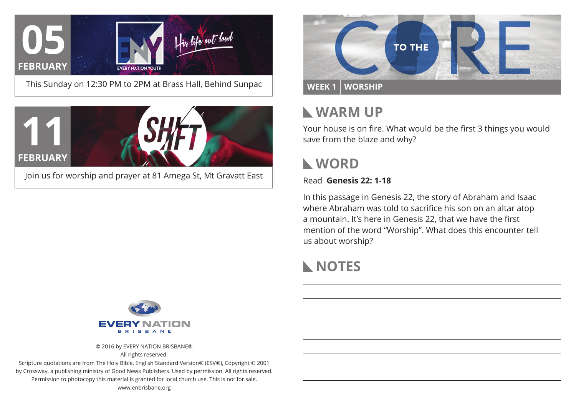

This Sunday on 12:30 PM to 2PM at Brass Hall, Behind Sunpac





### **Warm Up**

Your house is on fire. What would be the first 3 things you would save from the blaze and why?

### **WORD**

Read **Genesis 22: 1-18**

In this passage in Genesis 22, the story of Abraham and Isaac where Abraham was told to sacrifice his son on an altar atop a mountain. It's here in Genesis 22, that we have the first mention of the word "Worship". What does this encounter tell us about worship?

## **NOTES**



© 2016 by EVERY NATION BRISBANE® All rights reserved.

Scripture quotations are from The Holy Bible, English Standard Version® (ESV®), Copyright © 2001 by Crossway, a publishing ministry of Good News Publishers. Used by permission. All rights reserved. Permission to photocopy this material is granted for local church use. This is not for sale. www.enbrisbane.org